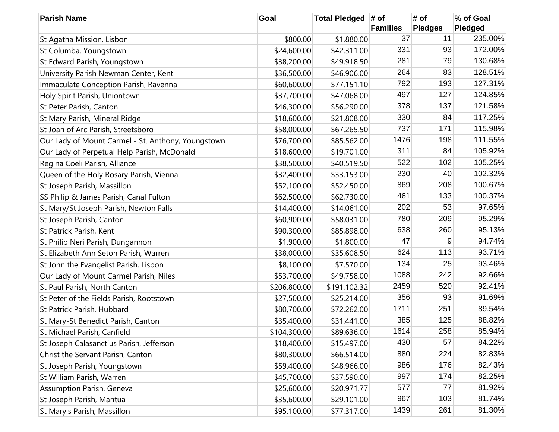| <b>Parish Name</b>                                 | Goal         | Total Pledged # of |                 | # of           | % of Goal |
|----------------------------------------------------|--------------|--------------------|-----------------|----------------|-----------|
|                                                    |              |                    | <b>Families</b> | <b>Pledges</b> | Pledged   |
| St Agatha Mission, Lisbon                          | \$800.00     | \$1,880.00         | 37              | 11             | 235.00%   |
| St Columba, Youngstown                             | \$24,600.00  | \$42,311.00        | 331             | 93             | 172.00%   |
| St Edward Parish, Youngstown                       | \$38,200.00  | \$49,918.50        | 281             | 79             | 130.68%   |
| University Parish Newman Center, Kent              | \$36,500.00  | \$46,906.00        | 264             | 83             | 128.51%   |
| Immaculate Conception Parish, Ravenna              | \$60,600.00  | \$77,151.10        | 792             | 193            | 127.31%   |
| Holy Spirit Parish, Uniontown                      | \$37,700.00  | \$47,068.00        | 497             | 127            | 124.85%   |
| St Peter Parish, Canton                            | \$46,300.00  | \$56,290.00        | 378             | 137            | 121.58%   |
| St Mary Parish, Mineral Ridge                      | \$18,600.00  | \$21,808.00        | 330             | 84             | 117.25%   |
| St Joan of Arc Parish, Streetsboro                 | \$58,000.00  | \$67,265.50        | 737             | 171            | 115.98%   |
| Our Lady of Mount Carmel - St. Anthony, Youngstown | \$76,700.00  | \$85,562.00        | 1476            | 198            | 111.55%   |
| Our Lady of Perpetual Help Parish, McDonald        | \$18,600.00  | \$19,701.00        | 311             | 84             | 105.92%   |
| Regina Coeli Parish, Alliance                      | \$38,500.00  | \$40,519.50        | 522             | 102            | 105.25%   |
| Queen of the Holy Rosary Parish, Vienna            | \$32,400.00  | \$33,153.00        | 230             | 40             | 102.32%   |
| St Joseph Parish, Massillon                        | \$52,100.00  | \$52,450.00        | 869             | 208            | 100.67%   |
| SS Philip & James Parish, Canal Fulton             | \$62,500.00  | \$62,730.00        | 461             | 133            | 100.37%   |
| St Mary/St Joseph Parish, Newton Falls             | \$14,400.00  | \$14,061.00        | 202             | 53             | 97.65%    |
| St Joseph Parish, Canton                           | \$60,900.00  | \$58,031.00        | 780             | 209            | 95.29%    |
| St Patrick Parish, Kent                            | \$90,300.00  | \$85,898.00        | 638             | 260            | 95.13%    |
| St Philip Neri Parish, Dungannon                   | \$1,900.00   | \$1,800.00         | 47              | 9              | 94.74%    |
| St Elizabeth Ann Seton Parish, Warren              | \$38,000.00  | \$35,608.50        | 624             | 113            | 93.71%    |
| St John the Evangelist Parish, Lisbon              | \$8,100.00   | \$7,570.00         | 134             | 25             | 93.46%    |
| Our Lady of Mount Carmel Parish, Niles             | \$53,700.00  | \$49,758.00        | 1088            | 242            | 92.66%    |
| St Paul Parish, North Canton                       | \$206,800.00 | \$191,102.32       | 2459            | 520            | 92.41%    |
| St Peter of the Fields Parish, Rootstown           | \$27,500.00  | \$25,214.00        | 356             | 93             | 91.69%    |
| St Patrick Parish, Hubbard                         | \$80,700.00  | \$72,262.00        | 1711            | 251            | 89.54%    |
| St Mary-St Benedict Parish, Canton                 | \$35,400.00  | \$31,441.00        | 385             | 125            | 88.82%    |
| St Michael Parish, Canfield                        | \$104,300.00 | \$89,636.00        | 1614            | 258            | 85.94%    |
| St Joseph Calasanctius Parish, Jefferson           | \$18,400.00  | \$15,497.00        | 430             | 57             | 84.22%    |
| Christ the Servant Parish, Canton                  | \$80,300.00  | \$66,514.00        | 880             | 224            | 82.83%    |
| St Joseph Parish, Youngstown                       | \$59,400.00  | \$48,966.00        | 986             | 176            | 82.43%    |
| St William Parish, Warren                          | \$45,700.00  | \$37,590.00        | 997             | 174            | 82.25%    |
| Assumption Parish, Geneva                          | \$25,600.00  | \$20,971.77        | 577             | 77             | 81.92%    |
| St Joseph Parish, Mantua                           | \$35,600.00  | \$29,101.00        | 967             | 103            | 81.74%    |
| St Mary's Parish, Massillon                        | \$95,100.00  | \$77,317.00        | 1439            | 261            | 81.30%    |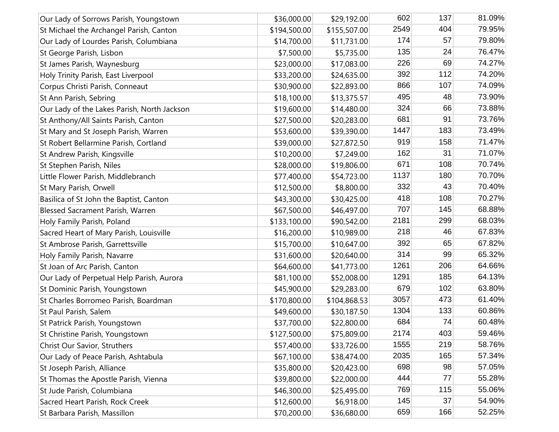| Our Lady of Sorrows Parish, Youngstown      | \$36,000.00  | \$29,192.00  | 602  | 137 | 81.09% |
|---------------------------------------------|--------------|--------------|------|-----|--------|
| St Michael the Archangel Parish, Canton     | \$194,500.00 | \$155,507.00 | 2549 | 404 | 79.95% |
| Our Lady of Lourdes Parish, Columbiana      | \$14,700.00  | \$11,731.00  | 174  | 57  | 79.80% |
| St George Parish, Lisbon                    | \$7,500.00   | \$5,735.00   | 135  | 24  | 76.47% |
| St James Parish, Waynesburg                 | \$23,000.00  | \$17,083.00  | 226  | 69  | 74.27% |
| Holy Trinity Parish, East Liverpool         | \$33,200.00  | \$24,635.00  | 392  | 112 | 74.20% |
| Corpus Christi Parish, Conneaut             | \$30,900.00  | \$22,893.00  | 866  | 107 | 74.09% |
| St Ann Parish, Sebring                      | \$18,100.00  | \$13,375.57  | 495  | 48  | 73.90% |
| Our Lady of the Lakes Parish, North Jackson | \$19,600.00  | \$14,480.00  | 324  | 66  | 73.88% |
| St Anthony/All Saints Parish, Canton        | \$27,500.00  | \$20,283.00  | 681  | 91  | 73.76% |
| St Mary and St Joseph Parish, Warren        | \$53,600.00  | \$39,390.00  | 1447 | 183 | 73.49% |
| St Robert Bellarmine Parish, Cortland       | \$39,000.00  | \$27,872.50  | 919  | 158 | 71.47% |
| St Andrew Parish, Kingsville                | \$10,200.00  | \$7,249.00   | 162  | 31  | 71.07% |
| St Stephen Parish, Niles                    | \$28,000.00  | \$19,806.00  | 671  | 108 | 70.74% |
| Little Flower Parish, Middlebranch          | \$77,400.00  | \$54,723.00  | 1137 | 180 | 70.70% |
| St Mary Parish, Orwell                      | \$12,500.00  | \$8,800.00   | 332  | 43  | 70.40% |
| Basilica of St John the Baptist, Canton     | \$43,300.00  | \$30,425.00  | 418  | 108 | 70.27% |
| Blessed Sacrament Parish, Warren            | \$67,500.00  | \$46,497.00  | 707  | 145 | 68.88% |
| Holy Family Parish, Poland                  | \$133,100.00 | \$90,542.00  | 2181 | 299 | 68.03% |
| Sacred Heart of Mary Parish, Louisville     | \$16,200.00  | \$10,989.00  | 218  | 46  | 67.83% |
| St Ambrose Parish, Garrettsville            | \$15,700.00  | \$10,647.00  | 392  | 65  | 67.82% |
| Holy Family Parish, Navarre                 | \$31,600.00  | \$20,640.00  | 314  | 99  | 65.32% |
| St Joan of Arc Parish, Canton               | \$64,600.00  | \$41,773.00  | 1261 | 206 | 64.66% |
| Our Lady of Perpetual Help Parish, Aurora   | \$81,100.00  | \$52,008.00  | 1291 | 185 | 64.13% |
| St Dominic Parish, Youngstown               | \$45,900.00  | \$29,283.00  | 679  | 102 | 63.80% |
| St Charles Borromeo Parish, Boardman        | \$170,800.00 | \$104,868.53 | 3057 | 473 | 61.40% |
| St Paul Parish, Salem                       | \$49,600.00  | \$30,187.50  | 1304 | 133 | 60.86% |
| St Patrick Parish, Youngstown               | \$37,700.00  | \$22,800.00  | 684  | 74  | 60.48% |
| St Christine Parish, Youngstown             | \$127,500.00 | \$75,809.00  | 2174 | 403 | 59.46% |
| Christ Our Savior, Struthers                | \$57,400.00  | \$33,726.00  | 1555 | 219 | 58.76% |
| Our Lady of Peace Parish, Ashtabula         | \$67,100.00  | \$38,474.00  | 2035 | 165 | 57.34% |
| St Joseph Parish, Alliance                  | \$35,800.00  | \$20,423.00  | 698  | 98  | 57.05% |
| St Thomas the Apostle Parish, Vienna        | \$39,800.00  | \$22,000.00  | 444  | 77  | 55.28% |
| St Jude Parish, Columbiana                  | \$46,300.00  | \$25,495.00  | 769  | 115 | 55.06% |
| Sacred Heart Parish, Rock Creek             | \$12,600.00  | \$6,918.00   | 145  | 37  | 54.90% |
| St Barbara Parish, Massillon                | \$70,200.00  | \$36,680.00  | 659  | 166 | 52.25% |